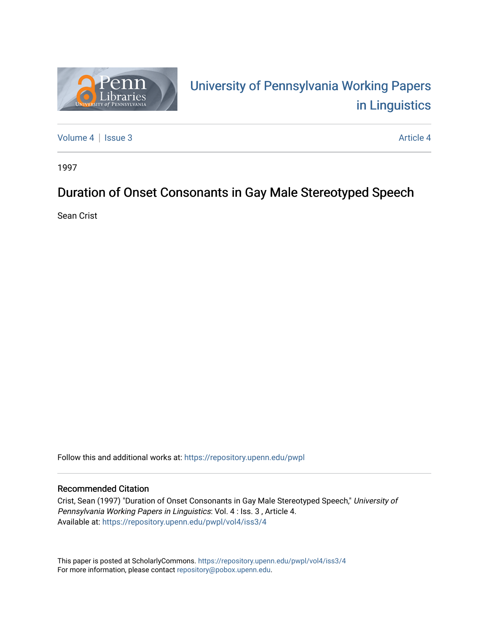

# University of P[ennsylvania Working P](https://repository.upenn.edu/pwpl)apers [in Linguistics](https://repository.upenn.edu/pwpl)

[Volume 4](https://repository.upenn.edu/pwpl/vol4) | [Issue 3](https://repository.upenn.edu/pwpl/vol4/iss3) Article 4

1997

## Duration of Onset Consonants in Gay Male Stereotyped Speech

Sean Crist

Follow this and additional works at: [https://repository.upenn.edu/pwpl](https://repository.upenn.edu/pwpl?utm_source=repository.upenn.edu%2Fpwpl%2Fvol4%2Fiss3%2F4&utm_medium=PDF&utm_campaign=PDFCoverPages) 

## Recommended Citation

Crist, Sean (1997) "Duration of Onset Consonants in Gay Male Stereotyped Speech," University of Pennsylvania Working Papers in Linguistics: Vol. 4 : Iss. 3 , Article 4. Available at: [https://repository.upenn.edu/pwpl/vol4/iss3/4](https://repository.upenn.edu/pwpl/vol4/iss3/4?utm_source=repository.upenn.edu%2Fpwpl%2Fvol4%2Fiss3%2F4&utm_medium=PDF&utm_campaign=PDFCoverPages) 

This paper is posted at ScholarlyCommons.<https://repository.upenn.edu/pwpl/vol4/iss3/4> For more information, please contact [repository@pobox.upenn.edu.](mailto:repository@pobox.upenn.edu)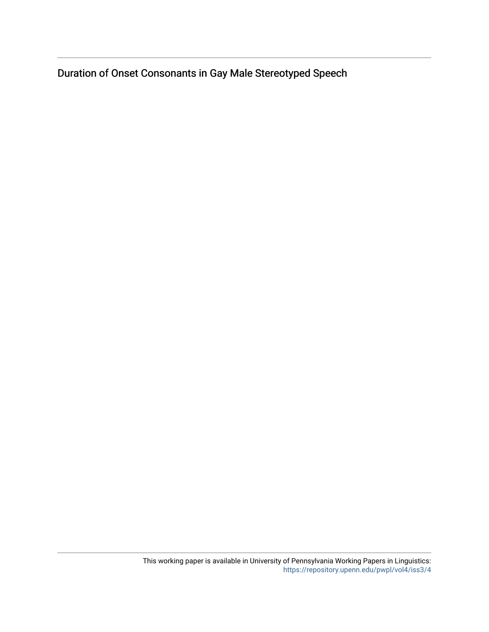Duration of Onset Consonants in Gay Male Stereotyped Speech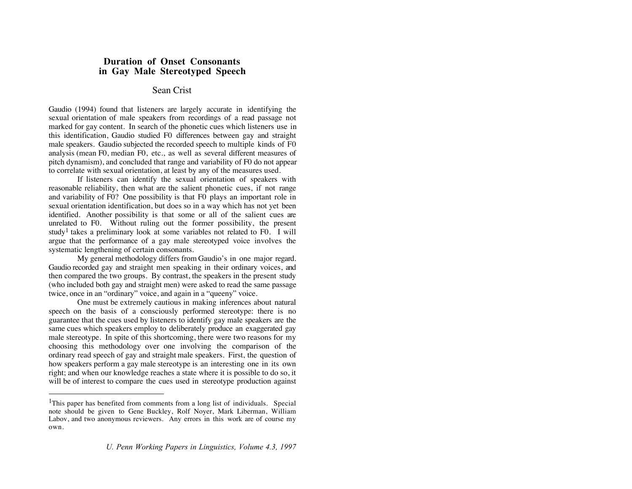## **Duration of Onset Consonants in Gay Male Stereotyped Speech**

## Sean Crist

Gaudio (1994) found that listeners are largely accurate in identifying the sexual orientation of male speakers from recordings of a read passage not marked for gay content. In search of the phonetic cues which listeners use in this identification, Gaudio studied F0 differences between gay and straight male speakers. Gaudio subjected the recorded speech to multiple kinds of F0 analysis (mean F0, median F0, etc., as well as several different measures of pitch dynamism), and concluded that range and variability of F0 do not appear to correlate with sexual orientation, at least by any of the measures used.

If listeners can identify the sexual orientation of speakers with reasonable reliability, then what are the salient phonetic cues, if not range and variability of F0? One possibility is that F0 plays an important role in sexual orientation identification, but does so in a way which has not yet been identified. Another possibility is that some or all of the salient cues are unrelated to F0. Without ruling out the former possibility, the present study<sup>1</sup> takes a preliminary look at some variables not related to F0. I will argue that the performance of a gay male stereotyped voice involves the systematic lengthening of certain consonants.

My general methodology differs from Gaudio's in one major regard. Gaudio recorded gay and straight men speaking in their ordinary voices, and then compared the two groups. By contrast, the speakers in the present study (who included both gay and straight men) were asked to read the same passage twice, once in an "ordinary" voice, and again in a "queeny" voice.

One must be extremely cautious in making inferences about natural speech on the basis of a consciously performed stereotype: there is no guarantee that the cues used by listeners to identify gay male speakers are the same cues which speakers employ to deliberately produce an exaggerated gay male stereotype. In spite of this shortcoming, there were two reasons for my choosing this methodology over one involving the comparison of the ordinary read speech of gay and straight male speakers. First, the question of how speakers perform a gay male stereotype is an interesting one in its own right; and when our knowledge reaches a state where it is possible to do so, it will be of interest to compare the cues used in stereotype production against

<sup>&</sup>lt;sup>1</sup>This paper has benefited from comments from a long list of individuals. Special note should be given to Gene Buckley, Rolf Noyer, Mark Liberman, William Labov, and two anonymous reviewers. Any errors in this work are of course my own.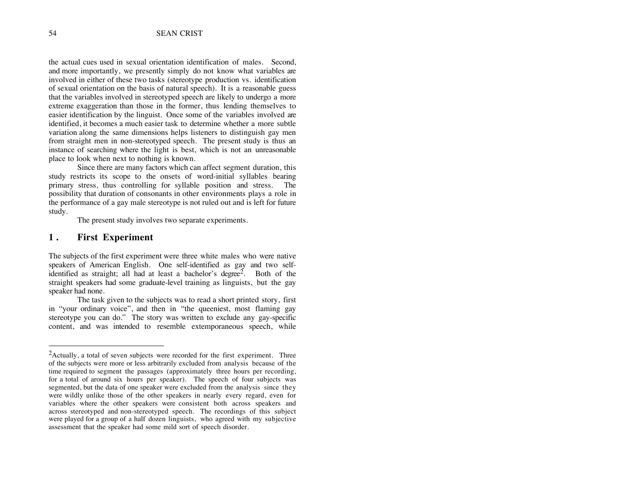the actual cues used in sexual orientation identification of males. Second, and more importantly, we presently simply do not know what variables are involved in either of these two tasks (stereotype production vs. identification of sexual orientation on the basis of natural speech). It is a reasonable guess that the variables involved in stereotyped speech are likely to undergo a more extreme exaggeration than those in the former, thus lending themselves to easier identification by the linguist. Once some of the variables involved are identified, it becomes a much easier task to determine whether a more subtle variation along the same dimensions helps listeners to distinguish gay men from straight men in non-stereotyped speech. The present study is thus an instance of searching where the light is best, which is not an unreasonable place to look when next to nothing is known.

Since there are many factors which can affect segment duration, this study restricts its scope to the onsets of word-initial syllables bearing primary stress, thus controlling for syllable position and stress. The possibility that duration of consonants in other environments plays a role in the performance of a gay male stereotype is not ruled out and is left for future study.

The present study involves two separate experiments.

#### **1 . First Experiment**

The subjects of the first experiment were three white males who were native speakers of American English. One self-identified as gay and two selfidentified as straight; all had at least a bachelor's degree<sup>2</sup>. Both of the straight speakers had some graduate-level training as linguists, but the gay speaker had none.

The task given to the subjects was to read a short printed story, first in "your ordinary voice", and then in "the queeniest, most flaming gay stereotype you can do." The story was written to exclude any gay-specific content, and was intended to resemble extemporaneous speech, while

 $2$ Actually, a total of seven subjects were recorded for the first experiment. Three of the subjects were more or less arbitrarily excluded from analysis because of the time required to segment the passages (approximately three hours per recording, for a total of around six hours per speaker). The speech of four subjects was segmented, but the data of one speaker were excluded from the analysis since they were wildly unlike those of the other speakers in nearly every regard, even for variables where the other speakers were consistent both across speakers and across stereotyped and non-stereotyped speech. The recordings of this subject were played for a group of a half dozen linguists, who agreed with my subjective assessment that the speaker had some mild sort of speech disorder.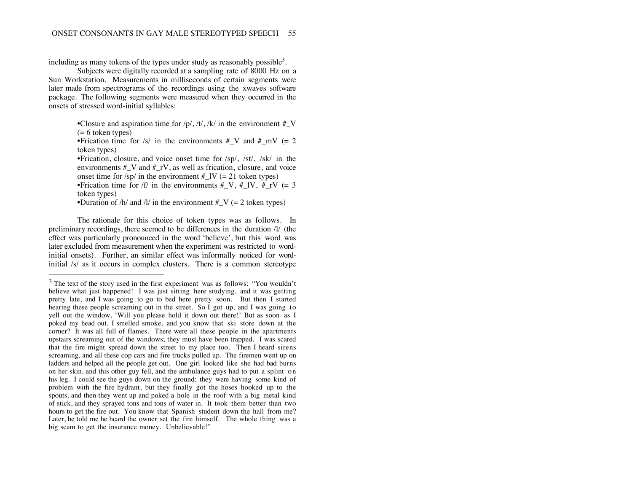including as many tokens of the types under study as reasonably possible<sup>3</sup>.

Subjects were digitally recorded at a sampling rate of 8000 Hz on a Sun Workstation. Measurements in milliseconds of certain segments were later made from spectrograms of the recordings using the xwaves software package. The following segments were measured when they occurred in the onsets of stressed word-initial syllables:

> •Closure and aspiration time for  $/p/$ ,  $/t/$ ,  $/k/$  in the environment  $\#_V$  $(= 6$  token types)

> •Frication time for /s/ in the environments  $\#_V$  and  $\#_mV$  (= 2 token types)

> •Frication, closure, and voice onset time for /sp/, /st/, /sk/ in the environments  $#V$  and  $#rV$ , as well as frication, closure, and voice onset time for  $\frac{s}{p}$  in the environment  $\frac{H}{L}$  [V (= 21 token types)

> •Frication time for /f/ in the environments # V, # IV, # $rV (= 3$ token types)

•Duration of /h/ and /l/ in the environment  $\#V$  (= 2 token types)

The rationale for this choice of token types was as follows. In preliminary recordings, there seemed to be differences in the duration /l/ (the effect was particularly pronounced in the word 'believe', but this word was later excluded from measurement when the experiment was restricted to wordinitial onsets). Further, an similar effect was informally noticed for wordinitial /s/ as it occurs in complex clusters. There is a common stereotype

 $3$  The text of the story used in the first experiment was as follows: "You wouldn't believe what just happened! I was just sitting here studying, and it was getting pretty late, and I was going to go to bed here pretty soon. But then I started hearing these people screaming out in the street. So I got up, and I was going to yell out the window, 'Will you please hold it down out there!' But as soon as I poked my head out, I smelled smoke, and you know that ski store down at the corner? It was all full of flames. There were all these people in the apartments upstairs screaming out of the windows; they must have been trapped. I was scared that the fire might spread down the street to my place too. Then I heard sirens screaming, and all these cop cars and fire trucks pulled up. The firemen went up on ladders and helped all the people get out. One girl looked like she had bad burns on her skin, and this other guy fell, and the ambulance guys had to put a splint on his leg. I could see the guys down on the ground; they were having some kind of problem with the fire hydrant, but they finally got the hoses hooked up to the spouts, and then they went up and poked a hole in the roof with a big metal kind of stick, and they sprayed tons and tons of water in. It took them better than two hours to get the fire out. You know that Spanish student down the hall from me? Later, he told me he heard the owner set the fire himself. The whole thing was a big scam to get the insurance money. Unbelievable!"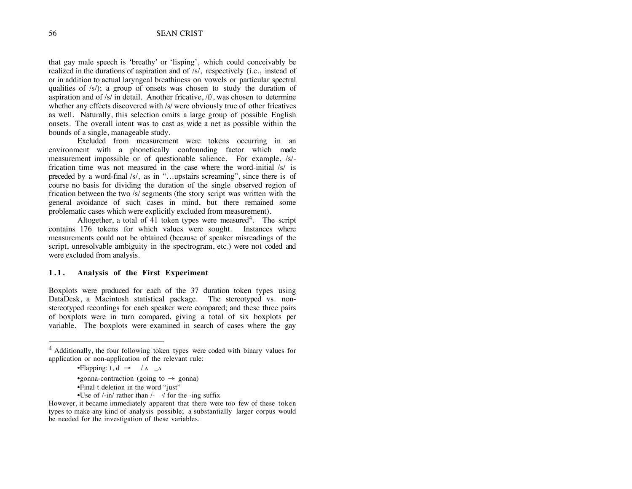that gay male speech is 'breathy' or 'lisping', which could conceivably be realized in the durations of aspiration and of /s/, respectively (i.e., instead of or in addition to actual laryngeal breathiness on vowels or particular spectral qualities of /s/); a group of onsets was chosen to study the duration of aspiration and of /s/ in detail. Another fricative, /f/, was chosen to determine whether any effects discovered with /s/ were obviously true of other fricatives as well. Naturally, this selection omits a large group of possible English onsets. The overall intent was to cast as wide a net as possible within the bounds of a single, manageable study.

Excluded from measurement were tokens occurring in an environment with a phonetically confounding factor which made measurement impossible or of questionable salience. For example, /s/ frication time was not measured in the case where the word-initial /s/ is preceded by a word-final /s/, as in "…upstairs screaming", since there is of course no basis for dividing the duration of the single observed region of frication between the two /s/ segments (the story script was written with the general avoidance of such cases in mind, but there remained some problematic cases which were explicitly excluded from measurement).

Altogether, a total of 41 token types were measured<sup>4</sup>. The script contains 176 tokens for which values were sought. Instances where measurements could not be obtained (because of speaker misreadings of the script, unresolvable ambiguity in the spectrogram, etc.) were not coded and were excluded from analysis.

#### **1.1. Analysis of the First Experiment**

Boxplots were produced for each of the 37 duration token types using DataDesk, a Macintosh statistical package. The stereotyped vs. nonstereotyped recordings for each speaker were compared; and these three pairs of boxplots were in turn compared, giving a total of six boxplots per variable. The boxplots were examined in search of cases where the gay

- •Final t deletion in the word "just"
- •Use of  $\frac{1}{\ln \pi}$  rather than  $\frac{1}{\pi}$  for the -ing suffix

However, it became immediately apparent that there were too few of these token types to make any kind of analysis possible; a substantially larger corpus would be needed for the investigation of these variables.

<sup>4</sup> Additionally, the four following token types were coded with binary values for application or non-application of the relevant rule:

<sup>•</sup>Flapping: t,  $d \rightarrow / A \Delta$ 

<sup>•</sup>gonna-contraction (going to  $\rightarrow$  gonna)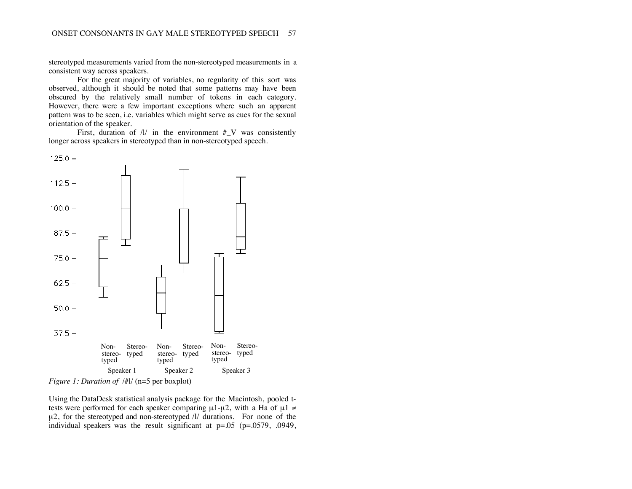stereotyped measurements varied from the non-stereotyped measurements in a consistent way across speakers.

For the great majority of variables, no regularity of this sort was observed, although it should be noted that some patterns may have been obscured by the relatively small number of tokens in each category. However, there were a few important exceptions where such an apparent pattern was to be seen, i.e. variables which might serve as cues for the sexual orientation of the speaker.

First, duration of  $/l/$  in the environment  $\#_V$  was consistently longer across speakers in stereotyped than in non-stereotyped speech.



*Figure 1: Duration of /#l/* (n=5 per boxplot)

Using the DataDesk statistical analysis package for the Macintosh, pooled ttests were performed for each speaker comparing  $\mu$ 1- $\mu$ 2, with a Ha of  $\mu$ 1  $\neq$  $\mu$ 2, for the stereotyped and non-stereotyped /l/ durations. For none of the individual speakers was the result significant at p=.05 (p=.0579, .0949,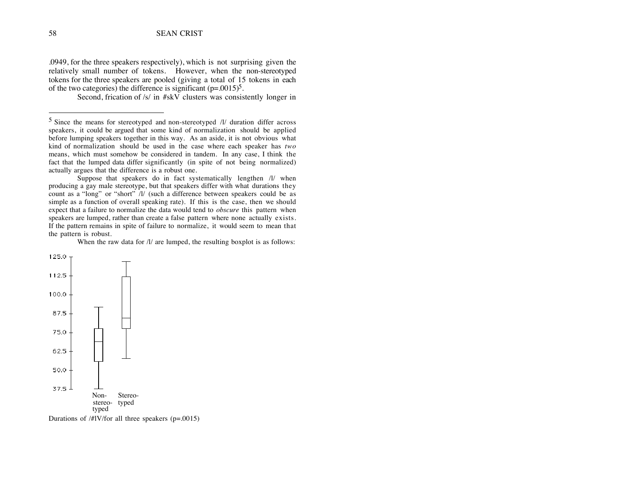.0949, for the three speakers respectively), which is not surprising given the relatively small number of tokens. However, when the non-stereotyped tokens for the three speakers are pooled (giving a total of 15 tokens in each of the two categories) the difference is significant  $(p=.0015)^5$ .

Second, frication of /s/ in #skV clusters was consistently longer in

Suppose that speakers do in fact systematically lengthen  $/1/$  when producing a gay male stereotype, but that speakers differ with what durations they count as a "long" or "short" /l/ (such a difference between speakers could be as simple as a function of overall speaking rate). If this is the case, then we should expect that a failure to normalize the data would tend to *obscure* this pattern when speakers are lumped, rather than create a false pattern where none actually exists. If the pattern remains in spite of failure to normalize, it would seem to mean that the pattern is robust.

When the raw data for  $\frac{1}{a}$  are lumped, the resulting boxplot is as follows:



Durations of /#lV/for all three speakers (p=.0015)

 $5$  Since the means for stereotyped and non-stereotyped  $/$ l/ duration differ across speakers, it could be argued that some kind of normalization should be applied before lumping speakers together in this way. As an aside, it is not obvious what kind of normalization should be used in the case where each speaker has *two* means, which must somehow be considered in tandem. In any case, I think the fact that the lumped data differ significantly (in spite of not being normalized) actually argues that the difference is a robust one.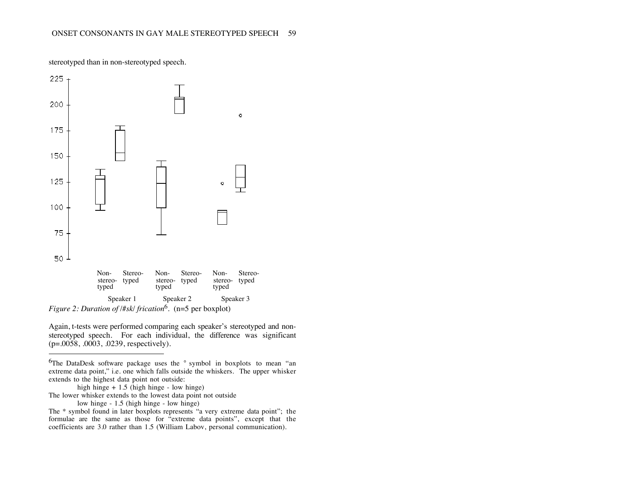

stereotyped than in non-stereotyped speech.

Again, t-tests were performed comparing each speaker's stereotyped and nonstereotyped speech. For each individual, the difference was significant (p=.0058, .0003, .0239, respectively).

high hinge + 1.5 (high hinge - low hinge)

The lower whisker extends to the lowest data point not outside

low hinge - 1.5 (high hinge - low hinge)

 $\overline{a}$ 

The \* symbol found in later boxplots represents "a very extreme data point"; the formulae are the same as those for "extreme data points", except that the coefficients are 3.0 rather than 1.5 (William Labov, personal communication).

<sup>6</sup>The DataDesk software package uses the ° symbol in boxplots to mean "an extreme data point," i.e. one which falls outside the whiskers. The upper whisker extends to the highest data point not outside: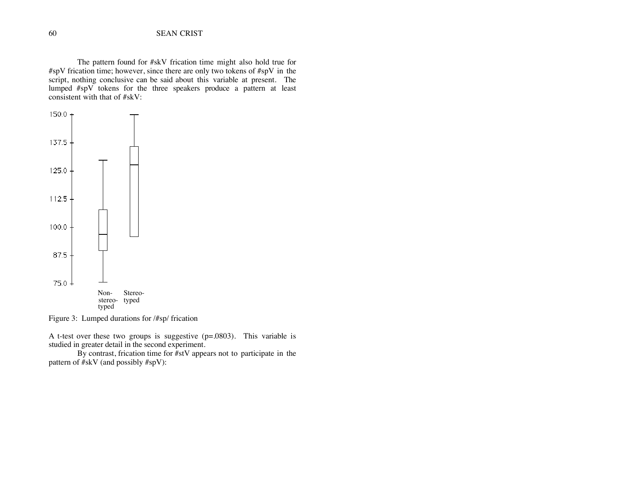The pattern found for #skV frication time might also hold true for #spV frication time; however, since there are only two tokens of #spV in the script, nothing conclusive can be said about this variable at present. The lumped #spV tokens for the three speakers produce a pattern at least consistent with that of #skV:



Figure 3: Lumped durations for /#sp/ frication

A t-test over these two groups is suggestive (p=.0803). This variable is studied in greater detail in the second experiment.

By contrast, frication time for #stV appears not to participate in the pattern of #skV (and possibly #spV):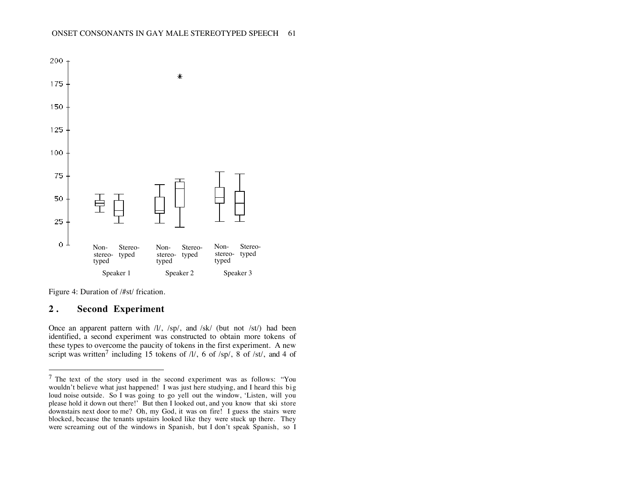

Figure 4: Duration of /#st/ frication.

## **2 . Second Experiment**

 $\overline{a}$ 

Once an apparent pattern with /l/, /sp/, and /sk/ (but not /st/) had been identified, a second experiment was constructed to obtain more tokens of these types to overcome the paucity of tokens in the first experiment. A new script was written<sup>7</sup> including 15 tokens of  $/1/$ , 6 of  $/sp/$ , 8 of  $/st/$ , and 4 of

 $7$  The text of the story used in the second experiment was as follows: "You wouldn't believe what just happened! I was just here studying, and I heard this big loud noise outside. So I was going to go yell out the window, 'Listen, will you please hold it down out there!' But then I looked out, and you know that ski store downstairs next door to me? Oh, my God, it was on fire! I guess the stairs were blocked, because the tenants upstairs looked like they were stuck up there. They were screaming out of the windows in Spanish, but I don't speak Spanish, so I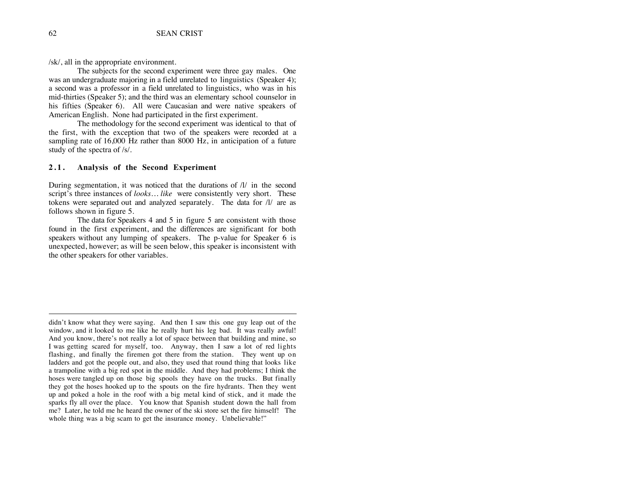/sk/, all in the appropriate environment.

The subjects for the second experiment were three gay males. One was an undergraduate majoring in a field unrelated to linguistics (Speaker 4); a second was a professor in a field unrelated to linguistics, who was in his mid-thirties (Speaker 5); and the third was an elementary school counselor in his fifties (Speaker 6). All were Caucasian and were native speakers of American English. None had participated in the first experiment.

The methodology for the second experiment was identical to that of the first, with the exception that two of the speakers were recorded at a sampling rate of 16,000 Hz rather than 8000 Hz, in anticipation of a future study of the spectra of /s/.

#### **2.1. Analysis of the Second Experiment**

During segmentation, it was noticed that the durations of /l/ in the second script's three instances of *looks… like* were consistently very short. These tokens were separated out and analyzed separately. The data for /l/ are as follows shown in figure 5.

The data for Speakers 4 and 5 in figure 5 are consistent with those found in the first experiment, and the differences are significant for both speakers without any lumping of speakers. The p-value for Speaker 6 is unexpected, however; as will be seen below, this speaker is inconsistent with the other speakers for other variables.

-

didn't know what they were saying. And then I saw this one guy leap out of the window, and it looked to me like he really hurt his leg bad. It was really awful! And you know, there's not really a lot of space between that building and mine, so I was getting scared for myself, too. Anyway, then I saw a lot of red lights flashing, and finally the firemen got there from the station. They went up on ladders and got the people out, and also, they used that round thing that looks like a trampoline with a big red spot in the middle. And they had problems; I think the hoses were tangled up on those big spools they have on the trucks. But finally they got the hoses hooked up to the spouts on the fire hydrants. Then they went up and poked a hole in the roof with a big metal kind of stick, and it made the sparks fly all over the place. You know that Spanish student down the hall from me? Later, he told me he heard the owner of the ski store set the fire himself! The whole thing was a big scam to get the insurance money. Unbelievable!"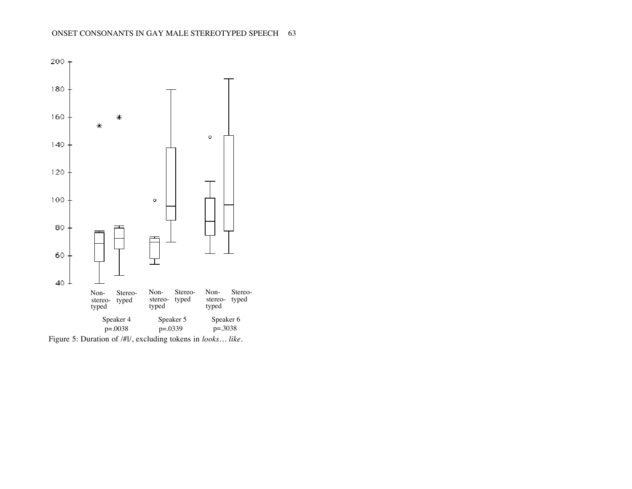

Figure 5: Duration of /#l/, excluding tokens in *looks… like.*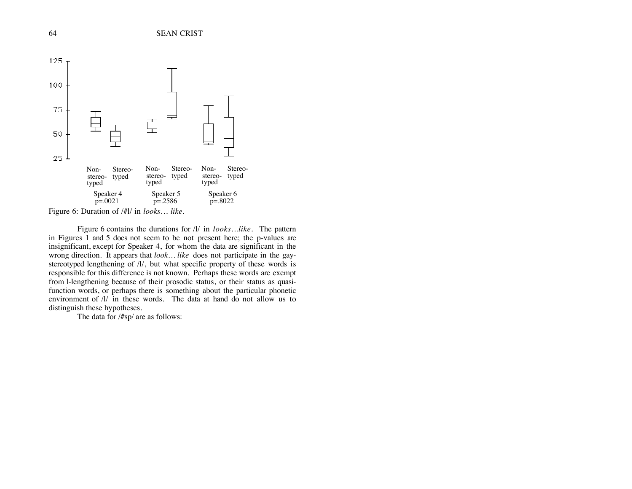

Figure 6 contains the durations for /l/ in *looks…like.* The pattern in Figures  $\overline{1}$  and 5 does not seem to be not present here; the p-values are insignificant, except for Speaker 4, for whom the data are significant in the wrong direction. It appears that *look… like* does not participate in the gaystereotyped lengthening of /l/, but what specific property of these words is responsible for this difference is not known. Perhaps these words are exempt from l-lengthening because of their prosodic status, or their status as quasifunction words, or perhaps there is something about the particular phonetic environment of  $\frac{1}{i}$  in these words. The data at hand do not allow us to distinguish these hypotheses.

The data for /#sp/ are as follows: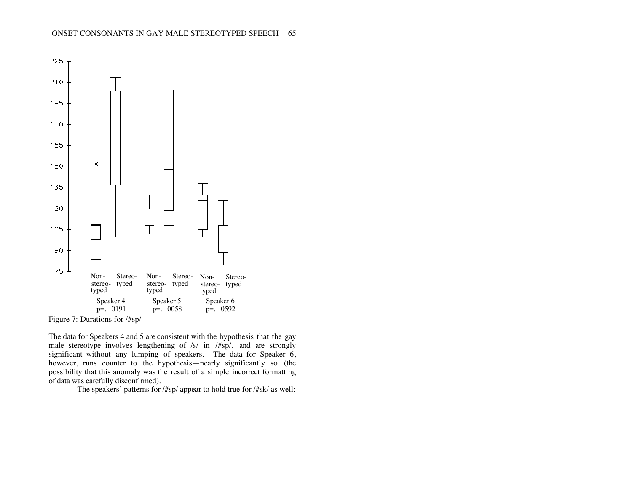

Figure 7: Durations for /#sp/

The data for Speakers 4 and 5 are consistent with the hypothesis that the gay male stereotype involves lengthening of  $/s/$  in  $/$ #sp $/$ , and are strongly significant without any lumping of speakers. The data for Speaker 6, however, runs counter to the hypothesis—nearly significantly so (the possibility that this anomaly was the result of a simple incorrect formatting of data was carefully disconfirmed).

The speakers' patterns for /#sp/ appear to hold true for /#sk/ as well: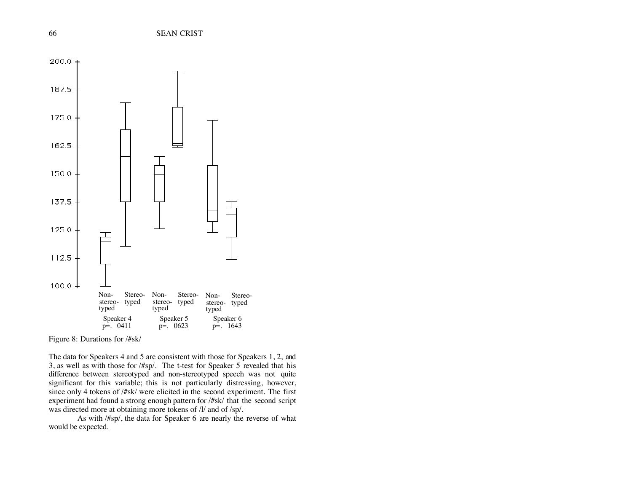

Figure 8: Durations for /#sk/

The data for Speakers 4 and 5 are consistent with those for Speakers 1, 2, and 3, as well as with those for /#sp/. The t-test for Speaker 5 revealed that his difference between stereotyped and non-stereotyped speech was not quite significant for this variable; this is not particularly distressing, however, since only 4 tokens of /#sk/ were elicited in the second experiment. The first experiment had found a strong enough pattern for /#sk/ that the second script was directed more at obtaining more tokens of /l/ and of /sp/.

As with /#sp/, the data for Speaker 6 are nearly the reverse of what would be expected.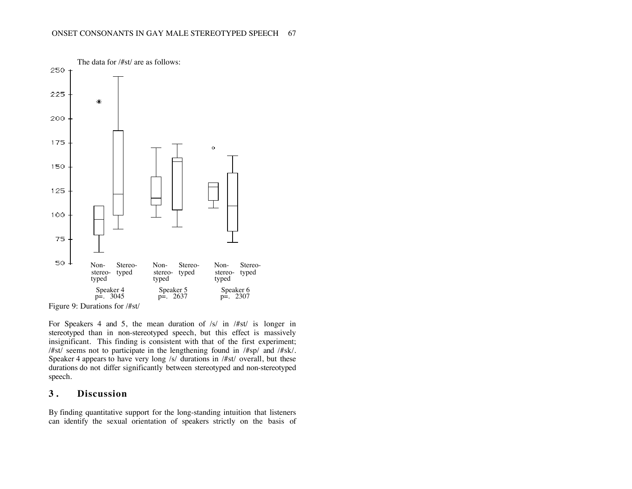

Figure 9: Durations for /#st/

For Speakers 4 and 5, the mean duration of  $/s/$  in  $#st/$  is longer in stereotyped than in non-stereotyped speech, but this effect is massively insignificant. This finding is consistent with that of the first experiment; /#st/ seems not to participate in the lengthening found in /#sp/ and /#sk/. Speaker 4 appears to have very long /s/ durations in /#st/ overall, but these durations do not differ significantly between stereotyped and non-stereotyped speech.

## **3 . Discussion**

By finding quantitative support for the long-standing intuition that listeners can identify the sexual orientation of speakers strictly on the basis of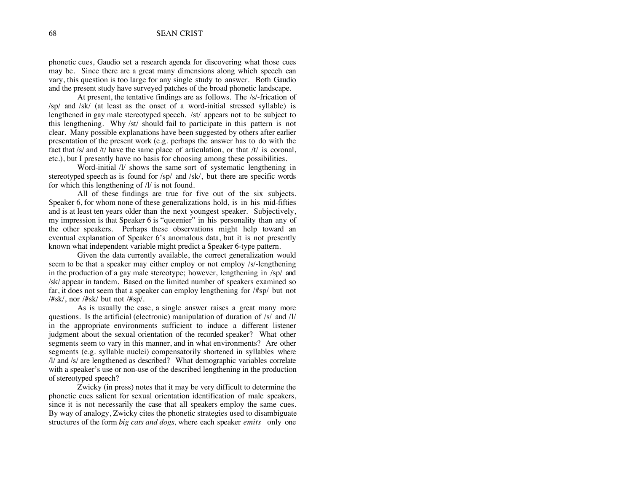phonetic cues, Gaudio set a research agenda for discovering what those cues may be. Since there are a great many dimensions along which speech can vary, this question is too large for any single study to answer. Both Gaudio and the present study have surveyed patches of the broad phonetic landscape.

At present, the tentative findings are as follows. The /s/-frication of /sp/ and /sk/ (at least as the onset of a word-initial stressed syllable) is lengthened in gay male stereotyped speech. /st/ appears not to be subject to this lengthening. Why /st/ should fail to participate in this pattern is not clear. Many possible explanations have been suggested by others after earlier presentation of the present work (e.g. perhaps the answer has to do with the fact that /s/ and /t/ have the same place of articulation, or that /t/ is coronal, etc.), but I presently have no basis for choosing among these possibilities.

Word-initial  $\frac{1}{1}$  shows the same sort of systematic lengthening in stereotyped speech as is found for /sp/ and /sk/, but there are specific words for which this lengthening of /l/ is not found.

All of these findings are true for five out of the six subjects. Speaker 6, for whom none of these generalizations hold, is in his mid-fifties and is at least ten years older than the next youngest speaker. Subjectively, my impression is that Speaker 6 is "queenier" in his personality than any of the other speakers. Perhaps these observations might help toward an eventual explanation of Speaker 6's anomalous data, but it is not presently known what independent variable might predict a Speaker 6-type pattern.

Given the data currently available, the correct generalization would seem to be that a speaker may either employ or not employ /s/-lengthening in the production of a gay male stereotype; however, lengthening in /sp/ and /sk/ appear in tandem. Based on the limited number of speakers examined so far, it does not seem that a speaker can employ lengthening for /#sp/ but not  $/\#$ sk $/$ , nor  $/\#$ sk $/$  but not  $/\#$ sp $/$ .

As is usually the case, a single answer raises a great many more questions. Is the artificial (electronic) manipulation of duration of /s/ and /l/ in the appropriate environments sufficient to induce a different listener judgment about the sexual orientation of the recorded speaker? What other segments seem to vary in this manner, and in what environments? Are other segments (e.g. syllable nuclei) compensatorily shortened in syllables where /l/ and /s/ are lengthened as described? What demographic variables correlate with a speaker's use or non-use of the described lengthening in the production of stereotyped speech?

Zwicky (in press) notes that it may be very difficult to determine the phonetic cues salient for sexual orientation identification of male speakers, since it is not necessarily the case that all speakers employ the same cues. By way of analogy, Zwicky cites the phonetic strategies used to disambiguate structures of the form *big cats and dogs,* where each speaker *emits* only one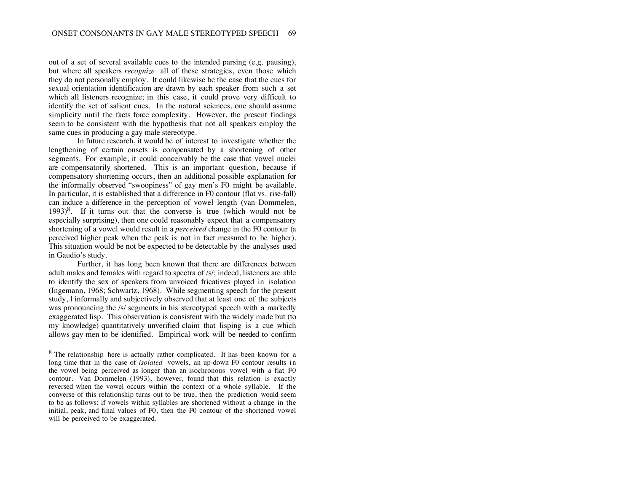out of a set of several available cues to the intended parsing (e.g. pausing), but where all speakers *recognize* all of these strategies, even those which they do not personally employ. It could likewise be the case that the cues for sexual orientation identification are drawn by each speaker from such a set which all listeners recognize; in this case, it could prove very difficult to identify the set of salient cues. In the natural sciences, one should assume simplicity until the facts force complexity. However, the present findings seem to be consistent with the hypothesis that not all speakers employ the same cues in producing a gay male stereotype.

In future research, it would be of interest to investigate whether the lengthening of certain onsets is compensated by a shortening of other segments. For example, it could conceivably be the case that vowel nuclei are compensatorily shortened. This is an important question, because if compensatory shortening occurs, then an additional possible explanation for the informally observed "swoopiness" of gay men's F0 might be available. In particular, it is established that a difference in F0 contour (flat vs. rise-fall) can induce a difference in the perception of vowel length (van Dommelen,  $1993)^8$ . If it turns out that the converse is true (which would not be especially surprising), then one could reasonably expect that a compensatory shortening of a vowel would result in a *perceived* change in the F0 contour (a perceived higher peak when the peak is not in fact measured to be higher). This situation would be not be expected to be detectable by the analyses used in Gaudio's study.

Further, it has long been known that there are differences between adult males and females with regard to spectra of /s/; indeed, listeners are able to identify the sex of speakers from unvoiced fricatives played in isolation (Ingemann, 1968; Schwartz, 1968). While segmenting speech for the present study, I informally and subjectively observed that at least one of the subjects was pronouncing the /s/ segments in his stereotyped speech with a markedly exaggerated lisp. This observation is consistent with the widely made but (to my knowledge) quantitatively unverified claim that lisping is a cue which allows gay men to be identified. Empirical work will be needed to confirm

<sup>&</sup>lt;sup>8</sup> The relationship here is actually rather complicated. It has been known for a long time that in the case of *isolated* vowels, an up-down F0 contour results in the vowel being perceived as longer than an isochronous vowel with a flat F0 contour. Van Dommelen (1993), however, found that this relation is exactly reversed when the vowel occurs within the context of a whole syllable. If the converse of this relationship turns out to be true, then the prediction would seem to be as follows: if vowels within syllables are shortened without a change in the initial, peak, and final values of F0, then the F0 contour of the shortened vowel will be perceived to be exaggerated.